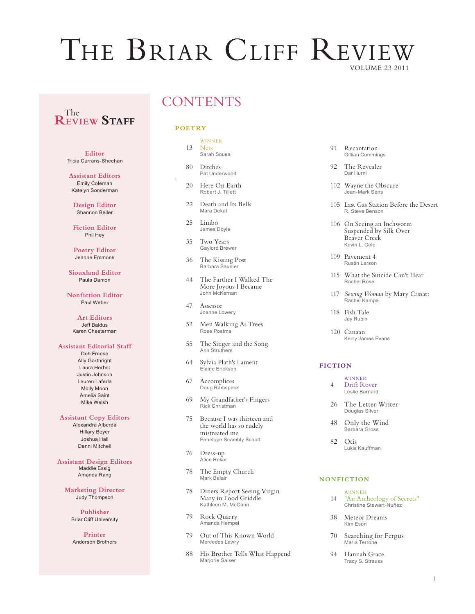# THE BRIAR CLIFF REVIEW VOLUME 23 2011

# **REVIEW Staff** The

**Editor** Tricia Currans-Sheehan

**Assistant Editors** Emily Coleman Katelyn Sonderman

**Design Editor** Shannon Beller

**Fiction Editor** Phil Hey

**Poetry Editor** Jeanne Emmons

**Siouxland Editor** Paula Damon

**Nonfiction Editor** Paul Weber

> **Art Editors** Jeff Baldus Karen Chesterman

## **Assistant Editorial Staff**

Deb Freese Ally Garthright Laura Herbst Justin Johnson Lauren Laferla Molly Moon Amelia Saint Mike Welsh

#### **Assistant Copy Editors**

Alexandra Alberda Hillary Beyer Joshua Hall Denni Mitchell

**Assistant Design Editors** Maddie Essig Amanda Rang

**Marketing Director** Judy Thompson

> **Publisher** Briar Cliff University

**Printer** Anderson Brothers

# **CONTENTS**

### **POETRY**

# **WINNER**

- 13 Nets<br>Sarah Sousa
- 80 Ditches<br>Pat Underwood
- 20 Here On Earth Robert J. Tillett
- 22 Death and Its Bells Mara Dekat
- 25 Limbo James Doyle
- 35 Two Years Gaylord Brewer
- 36 The Kissing Post Barbara Saunier
- 44 The Farther I Walked The More Joyous I Became John McKernan
- 47 Assessor Joanne Lowery
- 52 Men Walking As Trees Rose Postma
- 55 The Singer and the Song Ann Struthers
- 64 Sylvia Plath's Lament Elaine Erickson
- 67 Accomplices Doug Ramspeck
- 69 My Grandfather's Fingers Rick Christman
- 75 Because I was thirteen and the world has so rudely mistreated me Penelope Scambly Schott
- 76 Dress-up Alice Reker
- 78 The Empty Church Mark Belair
- 78 Diners Report Seeing Virgin Mary in Food Griddle Kathleen M. McCann
- 79 Rock Quarry Amanda Hempel
- 79 Out of This Known World Mercedes Lawry
- 88 His Brother Tells What Happend Marjorie Saiser

91 Recantation Gillian Cummings

- 92 The Revealer Dar Hurni
- 102 Wayne the Obscure Jean-Mark Sens
- 105 Last Gas Station Before the Desert R. Steve Benson
- 106 On Seeing an Inchworm Suspended by Silk Over Beaver Creek Kevin L. Cole
- 109 Pavement 4 Rustin Larson
- 115 What the Suicide Can't Hear Rachel Rose
- 117 *Sewing Woman* by Mary Cassatt Rachel Kampa

 118 Fish Tale Jay Rubin

120 Canaan Kerry James Evans

# **FICTION**

- **WINNER** 4 Drift Rover Leslie Barnard
- 26 The Letter Writer<br>Douglas Silver
- 48 Only the Wind<br>Barbara Gross
- 82 Otis<br>
Lukis Kauffman

### **NONFICTION**

- **WINNER** 14 "An Archeology of Secrets" Christine Stewart-Nuñez
- 38 Meteor Dreams Kim Eson
- 70 Searching for Fergus<br>
Maria Terrone
- 94 Hannah Grace Tracy S. Strauss